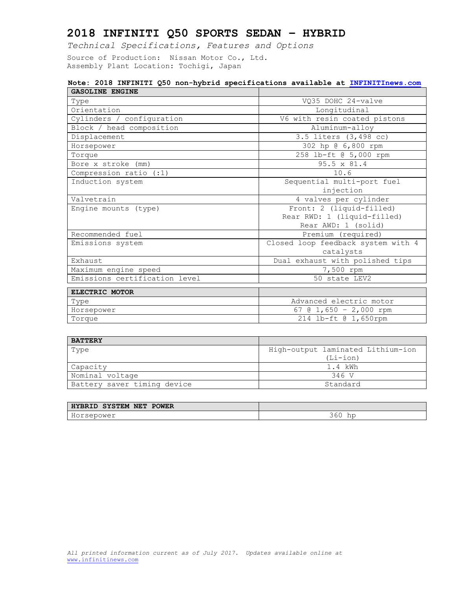*Technical Specifications, Features and Options*

Source of Production: Nissan Motor Co., Ltd. Assembly Plant Location: Tochigi, Japan

#### **Note: 2018 INFINITI Q50 non-hybrid specifications available at [INFINITInews.com](http://www.infinitinews.com/) GASOLINE ENGINE**

| GASOLINE ENGINE               |                                    |  |
|-------------------------------|------------------------------------|--|
| Type                          | VO35 DOHC 24-valve                 |  |
| Orientation                   | Longitudinal                       |  |
| Cylinders / configuration     | V6 with resin coated pistons       |  |
| Block / head composition      | Aluminum-alloy                     |  |
| Displacement                  | 3.5 liters (3,498 cc)              |  |
| Horsepower                    | 302 hp @ 6,800 rpm                 |  |
| Torque                        | 258 lb-ft @ 5,000 rpm              |  |
| Bore x stroke (mm)            | 95.5 x 81.4                        |  |
| Compression ratio (:1)        | 10.6                               |  |
| Induction system              | Sequential multi-port fuel         |  |
|                               | injection                          |  |
| Valvetrain                    | 4 valves per cylinder              |  |
| Engine mounts (type)          | Front: 2 (liquid-filled)           |  |
|                               | Rear RWD: 1 (liquid-filled)        |  |
|                               | Rear AWD: 1 (solid)                |  |
| Recommended fuel              | Premium (required)                 |  |
| Emissions system              | Closed loop feedback system with 4 |  |
|                               | catalysts                          |  |
| Exhaust                       | Dual exhaust with polished tips    |  |
| Maximum engine speed          | 7,500 rpm                          |  |
| Emissions certification level | 50 state LEV2                      |  |
| ELECTRIC MOTOR                |                                    |  |
|                               |                                    |  |
| Type                          | Advanced electric motor            |  |
| Horsepower                    | 67 @ $1,650 - 2,000$ rpm           |  |
| Torque                        | 214 lb-ft @ 1,650rpm               |  |

| <b>BATTERY</b>              |                                   |
|-----------------------------|-----------------------------------|
| Type                        | High-output laminated Lithium-ion |
|                             | $(Li-i$ on)                       |
| Capacity                    | 1.4 kWh                           |
| Nominal voltage             | 346 V                             |
| Battery saver timing device | Standard                          |

| <b>NET</b><br><b>POWER</b><br><b>SYSTEM</b><br>HYBRID |                       |
|-------------------------------------------------------|-----------------------|
| rsepower<br>$H \cap Y$                                | 4 L N<br><b>) v v</b> |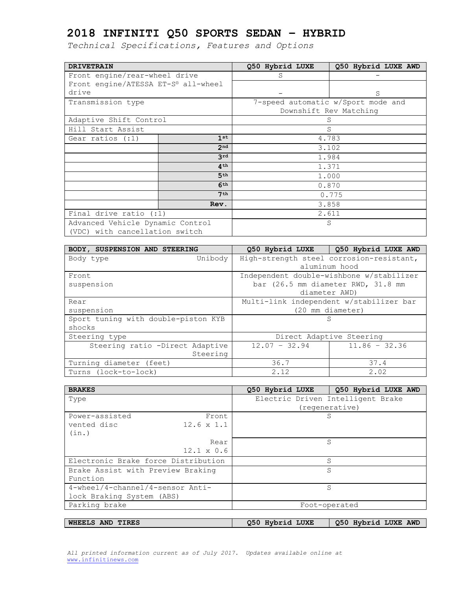*Technical Specifications, Features and Options*

| <b>DRIVETRAIN</b>                   |                 | Q50 Hybrid LUXE | Q50 Hybrid LUXE AWD                |
|-------------------------------------|-----------------|-----------------|------------------------------------|
| Front engine/rear-wheel drive       |                 | S               |                                    |
| Front engine/ATESSA ET-S® all-wheel |                 |                 |                                    |
| drive                               |                 |                 | S                                  |
| Transmission type                   |                 |                 | 7-speed automatic w/Sport mode and |
|                                     |                 |                 | Downshift Rev Matching             |
| Adaptive Shift Control              |                 | S               |                                    |
| Hill Start Assist                   |                 |                 | S                                  |
| Gear ratios $(:1)$                  | 1st             |                 | 4.783                              |
|                                     | 2 <sub>nd</sub> |                 | 3.102                              |
|                                     | 3rd             | 1.984           |                                    |
|                                     | 4 <sup>th</sup> | 1.371           |                                    |
|                                     | 5 <sup>th</sup> | 1.000           |                                    |
|                                     | 6 <sup>th</sup> | 0.870           |                                    |
|                                     | 7 <sup>th</sup> |                 | 0.775                              |
|                                     | Rev.            |                 | 3.858                              |
| Final drive ratio $(:1)$            |                 | 2.611           |                                    |
| Advanced Vehicle Dynamic Control    |                 |                 | S                                  |
| (VDC) with cancellation switch      |                 |                 |                                    |

| BODY, SUSPENSION AND STEERING       |                 | 050 Hybrid LUXE   050 Hybrid LUXE AWD    |
|-------------------------------------|-----------------|------------------------------------------|
| Unibody<br>Body type                |                 | High-strength steel corrosion-resistant, |
|                                     |                 | aluminum hood                            |
| Front                               |                 | Independent double-wishbone w/stabilizer |
| suspension                          |                 | bar (26.5 mm diameter RWD, 31.8 mm       |
|                                     |                 | diameter AWD)                            |
| Rear                                |                 | Multi-link independent w/stabilizer bar  |
| suspension                          |                 | (20 mm diameter)                         |
| Sport tuning with double-piston KYB |                 | S                                        |
| shocks                              |                 |                                          |
| Steering type                       |                 | Direct Adaptive Steering                 |
| Steering ratio -Direct Adaptive     | $12.07 - 32.94$ | $11.86 - 32.36$                          |
| Steering                            |                 |                                          |
| Turning diameter (feet)             | 36.7            | 37.4                                     |
| Turns (lock-to-lock)                | 2.12            | 2.02                                     |

| <b>BRAKES</b>                       | Q50 Hybrid LUXE<br>Q50 Hybrid LUXE AWD |
|-------------------------------------|----------------------------------------|
| Type                                | Electric Driven Intelligent Brake      |
|                                     | (regenerative)                         |
| Power-assisted<br>Front             | S                                      |
| $12.6 \times 1.1$<br>vented disc    |                                        |
| (in.)                               |                                        |
| Rear                                | S                                      |
| $12.1 \times 0.6$                   |                                        |
| Electronic Brake force Distribution | S                                      |
| Brake Assist with Preview Braking   | S                                      |
| Function                            |                                        |
| 4-wheel/4-channel/4-sensor Anti-    | S                                      |
| lock Braking System (ABS)           |                                        |
| Parking brake                       | Foot-operated                          |
|                                     |                                        |

**WHEELS AND TIRES Q50 Hybrid LUXE Q50 Hybrid LUXE AWD**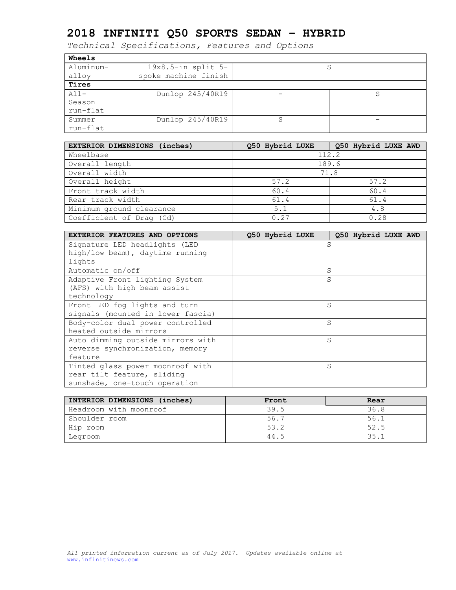| <b>Wheels</b> |                         |   |   |
|---------------|-------------------------|---|---|
| Aluminum-     | $19x8.5$ -in split $5-$ |   | S |
| alloy         | spoke machine finish    |   |   |
| Tires         |                         |   |   |
| $A11-$        | Dunlop 245/40R19        |   |   |
| Season        |                         |   |   |
| run-flat      |                         |   |   |
| Summer        | Dunlop 245/40R19        | S |   |
| run-flat      |                         |   |   |

| EXTERIOR DIMENSIONS (inches) | Q50 Hybrid LUXE | Q50 Hybrid LUXE AWD |
|------------------------------|-----------------|---------------------|
| Wheelbase                    |                 | 112.2               |
| Overall length               |                 | 189.6               |
| Overall width                |                 | 71.8                |
| Overall height               | 57.2            | 57.2                |
| Front track width            | 60.4            | 60.4                |
| Rear track width             | 61.4            | 61.4                |
| Minimum ground clearance     | 5.1             | 4.8                 |
| Coefficient of Drag (Cd)     | 0.27            | 0.28                |

| <b>EXTERIOR FEATURES AND OPTIONS</b> | Q50 Hybrid LUXE<br>Q50 Hybrid LUXE AWD |
|--------------------------------------|----------------------------------------|
| Signature LED headlights (LED        | S                                      |
| high/low beam), daytime running      |                                        |
| lights                               |                                        |
| Automatic on/off                     | S                                      |
| Adaptive Front lighting System       | S                                      |
| (AFS) with high beam assist          |                                        |
| technology                           |                                        |
| Front LED fog lights and turn        | S                                      |
| signals (mounted in lower fascia)    |                                        |
| Body-color dual power controlled     | S                                      |
| heated outside mirrors               |                                        |
| Auto dimming outside mirrors with    | S                                      |
| reverse synchronization, memory      |                                        |
| feature                              |                                        |
| Tinted glass power moonroof with     | S                                      |
| rear tilt feature, sliding           |                                        |
| sunshade, one-touch operation        |                                        |

| INTERIOR DIMENSIONS (inches) | Front | Rear |
|------------------------------|-------|------|
| Headroom with moonroof       | 39.5  | 36.8 |
| Shoulder room                | 56.7  | 56.1 |
| Hip room                     | 53.2  | 52.5 |
| Legroom                      | 44.5  | 35.1 |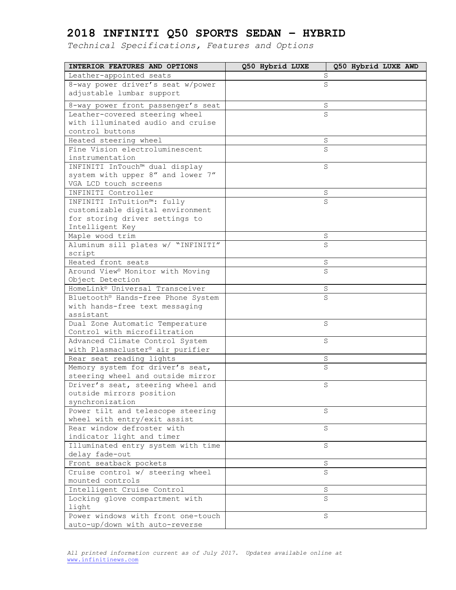| INTERIOR FEATURES AND OPTIONS                                       | Q50 Hybrid LUXE<br>Q50 Hybrid LUXE AWD |
|---------------------------------------------------------------------|----------------------------------------|
| Leather-appointed seats                                             | S                                      |
| 8-way power driver's seat w/power                                   | S                                      |
| adjustable lumbar support                                           |                                        |
| 8-way power front passenger's seat                                  | S                                      |
| Leather-covered steering wheel                                      | S                                      |
| with illuminated audio and cruise                                   |                                        |
| control buttons                                                     |                                        |
| Heated steering wheel                                               | S                                      |
| Fine Vision electroluminescent                                      | S                                      |
| instrumentation                                                     |                                        |
| INFINITI InTouch™ dual display                                      | S                                      |
| system with upper 8" and lower 7"                                   |                                        |
| VGA LCD touch screens                                               |                                        |
| INFINITI Controller                                                 | $\rm S$                                |
| INFINITI InTuition™: fully                                          | S                                      |
| customizable digital environment                                    |                                        |
| for storing driver settings to                                      |                                        |
| Intelligent Key                                                     |                                        |
| Maple wood trim                                                     | S                                      |
| Aluminum sill plates w/ "INFINITI"                                  | S                                      |
| script                                                              |                                        |
| Heated front seats                                                  | S                                      |
| Around View® Monitor with Moving                                    | S                                      |
| Object Detection                                                    |                                        |
| HomeLink® Universal Transceiver                                     | $\rm S$                                |
| Bluetooth® Hands-free Phone System                                  | S                                      |
| with hands-free text messaging                                      |                                        |
| assistant                                                           |                                        |
| Dual Zone Automatic Temperature                                     | S                                      |
| Control with microfiltration                                        |                                        |
| Advanced Climate Control System<br>with Plasmacluster® air purifier | S                                      |
| Rear seat reading lights                                            | S                                      |
| Memory system for driver's seat,                                    | S                                      |
| steering wheel and outside mirror                                   |                                        |
| Driver's seat, steering wheel and                                   | S                                      |
| outside mirrors position                                            |                                        |
| synchronization                                                     |                                        |
| Power tilt and telescope steering                                   | S                                      |
| wheel with entry/exit assist                                        |                                        |
| Rear window defroster with                                          | S                                      |
| indicator light and timer                                           |                                        |
| Illuminated entry system with time                                  | S                                      |
| delay fade-out                                                      |                                        |
| Front seatback pockets                                              | S                                      |
| Cruise control w/ steering wheel                                    | $\rm S$                                |
| mounted controls                                                    |                                        |
| Intelligent Cruise Control                                          | $\mathbf S$                            |
| Locking glove compartment with                                      | S                                      |
| light                                                               |                                        |
| Power windows with front one-touch                                  | S                                      |
| auto-up/down with auto-reverse                                      |                                        |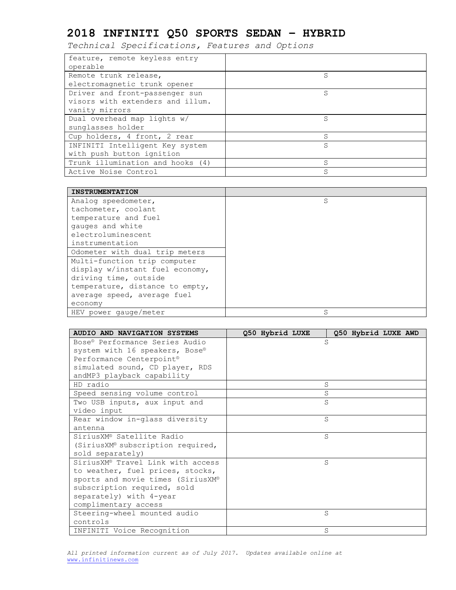| feature, remote keyless entry    |   |
|----------------------------------|---|
| operable                         |   |
| Remote trunk release,            | S |
| electromagnetic trunk opener     |   |
| Driver and front-passenger sun   | S |
| visors with extenders and illum. |   |
| vanity mirrors                   |   |
| Dual overhead map lights w/      | S |
| sunglasses holder                |   |
| Cup holders, 4 front, 2 rear     | S |
| INFINITI Intelligent Key system  | S |
| with push button ignition        |   |
| Trunk illumination and hooks (4) | S |
| Active Noise Control             | S |

| <b>INSTRUMENTATION</b>          |   |
|---------------------------------|---|
| Analog speedometer,             | S |
| tachometer, coolant             |   |
| temperature and fuel            |   |
| gauges and white                |   |
| electroluminescent              |   |
| instrumentation                 |   |
| Odometer with dual trip meters  |   |
| Multi-function trip computer    |   |
| display w/instant fuel economy, |   |
| driving time, outside           |   |
| temperature, distance to empty, |   |
| average speed, average fuel     |   |
| economy                         |   |
| HEV power qauge/meter           | S |

| AUDIO AND NAVIGATION SYSTEMS      | Q50 Hybrid LUXE<br>Q50 Hybrid LUXE AWD |
|-----------------------------------|----------------------------------------|
| Bose® Performance Series Audio    | S                                      |
| system with 16 speakers, Bose®    |                                        |
| Performance Centerpoint®          |                                        |
| simulated sound, CD player, RDS   |                                        |
| andMP3 playback capability        |                                        |
| HD radio                          | S                                      |
| Speed sensing volume control      | S                                      |
| Two USB inputs, aux input and     | S                                      |
| video input                       |                                        |
| Rear window in-glass diversity    | S                                      |
| antenna                           |                                        |
| SiriusXM® Satellite Radio         | S                                      |
| (SiriusXM® subscription required, |                                        |
| sold separately)                  |                                        |
| SiriusXM® Travel Link with access | S                                      |
| to weather, fuel prices, stocks,  |                                        |
| sports and movie times (SiriusXM® |                                        |
| subscription required, sold       |                                        |
| separately) with 4-year           |                                        |
| complimentary access              |                                        |
| Steering-wheel mounted audio      | S                                      |
| controls                          |                                        |
| INFINITI Voice Recognition        | S                                      |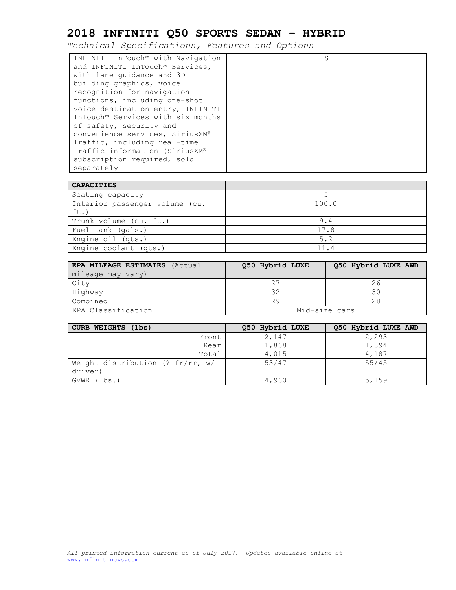| <b>CAPACITIES</b>              |       |
|--------------------------------|-------|
| Seating capacity               |       |
| Interior passenger volume (cu. | 100.0 |
| $ft.$ )                        |       |
| Trunk volume (cu. ft.)         | 9.4   |
| Fuel tank (gals.)              | 17.8  |
| Engine oil (qts.)              | 5.2   |
| Engine coolant (qts.)          | 11.4  |

| EPA MILEAGE ESTIMATES (Actual | Q50 Hybrid LUXE | Q50 Hybrid LUXE AWD |  |  |  |
|-------------------------------|-----------------|---------------------|--|--|--|
| mileage may vary)             |                 |                     |  |  |  |
| City                          |                 | 26                  |  |  |  |
| Highway                       |                 | 30                  |  |  |  |
| Combined                      | 29              | 28                  |  |  |  |
| EPA Classification            | Mid-size cars   |                     |  |  |  |

| CURB WEIGHTS (lbs)                             | Q50 Hybrid LUXE | Q50 Hybrid LUXE AWD |
|------------------------------------------------|-----------------|---------------------|
| Front                                          | 2,147           | 2,293               |
| Rear                                           | 1,868           | 1,894               |
| Total                                          | 4,015           | 4,187               |
| Weight distribution (% $fr/rr$ , w/<br>driver) | 53/47           | 55/45               |
| GVWR (lbs.)                                    | 4,960           | 5,159               |